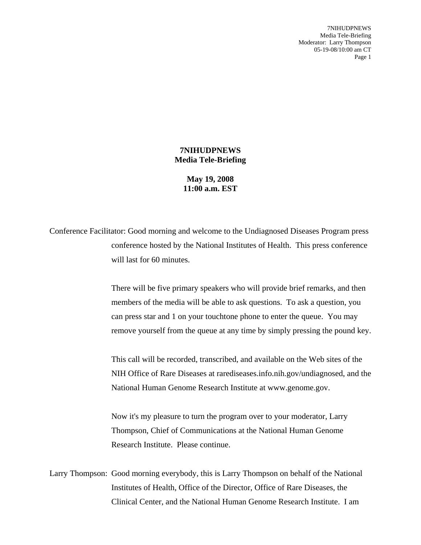7NIHUDPNEWS Media Tele-Briefing Moderator: Larry Thompson 05-19-08/10:00 am CT Page 1

## **7NIHUDPNEWS Media Tele-Briefing**

**May 19, 2008 11:00 a.m. EST**

Conference Facilitator: Good morning and welcome to the Undiagnosed Diseases Program press conference hosted by the National Institutes of Health. This press conference will last for 60 minutes.

> There will be five primary speakers who will provide brief remarks, and then members of the media will be able to ask questions. To ask a question, you can press star and 1 on your touchtone phone to enter the queue. You may remove yourself from the queue at any time by simply pressing the pound key.

> This call will be recorded, transcribed, and available on the Web sites of the NIH Office of Rare Diseases at rarediseases.info.nih.gov/undiagnosed, and the National Human Genome Research Institute at www.genome.gov.

Now it's my pleasure to turn the program over to your moderator, Larry Thompson, Chief of Communications at the National Human Genome Research Institute. Please continue.

Larry Thompson: Good morning everybody, this is Larry Thompson on behalf of the National Institutes of Health, Office of the Director, Office of Rare Diseases, the Clinical Center, and the National Human Genome Research Institute. I am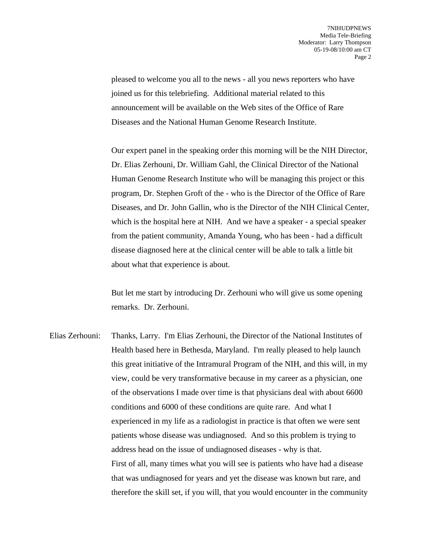pleased to welcome you all to the news - all you news reporters who have joined us for this telebriefing. Additional material related to this announcement will be available on the Web sites of the Office of Rare Diseases and the National Human Genome Research Institute.

Our expert panel in the speaking order this morning will be the NIH Director, Dr. Elias Zerhouni, Dr. William Gahl, the Clinical Director of the National Human Genome Research Institute who will be managing this project or this program, Dr. Stephen Groft of the - who is the Director of the Office of Rare Diseases, and Dr. John Gallin, who is the Director of the NIH Clinical Center, which is the hospital here at NIH. And we have a speaker - a special speaker from the patient community, Amanda Young, who has been - had a difficult disease diagnosed here at the clinical center will be able to talk a little bit about what that experience is about.

But let me start by introducing Dr. Zerhouni who will give us some opening remarks. Dr. Zerhouni.

Elias Zerhouni: Thanks, Larry. I'm Elias Zerhouni, the Director of the National Institutes of Health based here in Bethesda, Maryland. I'm really pleased to help launch this great initiative of the Intramural Program of the NIH, and this will, in my view, could be very transformative because in my career as a physician, one of the observations I made over time is that physicians deal with about 6600 conditions and 6000 of these conditions are quite rare. And what I experienced in my life as a radiologist in practice is that often we were sent patients whose disease was undiagnosed. And so this problem is trying to address head on the issue of undiagnosed diseases - why is that. First of all, many times what you will see is patients who have had a disease that was undiagnosed for years and yet the disease was known but rare, and therefore the skill set, if you will, that you would encounter in the community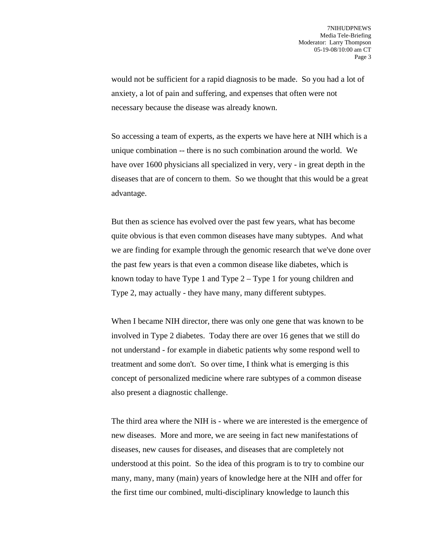would not be sufficient for a rapid diagnosis to be made. So you had a lot of anxiety, a lot of pain and suffering, and expenses that often were not necessary because the disease was already known.

So accessing a team of experts, as the experts we have here at NIH which is a unique combination -- there is no such combination around the world. We have over 1600 physicians all specialized in very, very - in great depth in the diseases that are of concern to them. So we thought that this would be a great advantage.

But then as science has evolved over the past few years, what has become quite obvious is that even common diseases have many subtypes. And what we are finding for example through the genomic research that we've done over the past few years is that even a common disease like diabetes, which is known today to have Type 1 and Type 2 – Type 1 for young children and Type 2, may actually - they have many, many different subtypes.

When I became NIH director, there was only one gene that was known to be involved in Type 2 diabetes. Today there are over 16 genes that we still do not understand - for example in diabetic patients why some respond well to treatment and some don't. So over time, I think what is emerging is this concept of personalized medicine where rare subtypes of a common disease also present a diagnostic challenge.

The third area where the NIH is - where we are interested is the emergence of new diseases. More and more, we are seeing in fact new manifestations of diseases, new causes for diseases, and diseases that are completely not understood at this point. So the idea of this program is to try to combine our many, many, many (main) years of knowledge here at the NIH and offer for the first time our combined, multi-disciplinary knowledge to launch this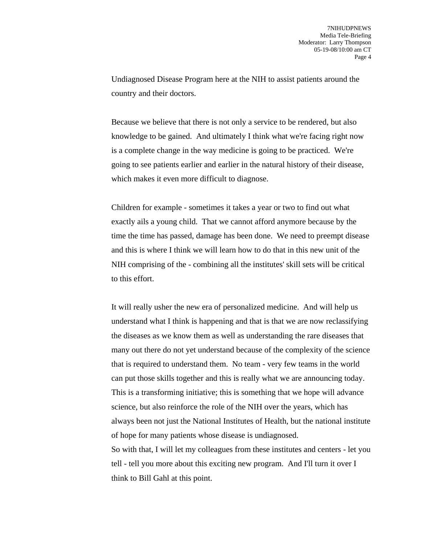Undiagnosed Disease Program here at the NIH to assist patients around the country and their doctors.

Because we believe that there is not only a service to be rendered, but also knowledge to be gained. And ultimately I think what we're facing right now is a complete change in the way medicine is going to be practiced. We're going to see patients earlier and earlier in the natural history of their disease, which makes it even more difficult to diagnose.

Children for example - sometimes it takes a year or two to find out what exactly ails a young child. That we cannot afford anymore because by the time the time has passed, damage has been done. We need to preempt disease and this is where I think we will learn how to do that in this new unit of the NIH comprising of the - combining all the institutes' skill sets will be critical to this effort.

It will really usher the new era of personalized medicine. And will help us understand what I think is happening and that is that we are now reclassifying the diseases as we know them as well as understanding the rare diseases that many out there do not yet understand because of the complexity of the science that is required to understand them. No team - very few teams in the world can put those skills together and this is really what we are announcing today. This is a transforming initiative; this is something that we hope will advance science, but also reinforce the role of the NIH over the years, which has always been not just the National Institutes of Health, but the national institute of hope for many patients whose disease is undiagnosed. So with that, I will let my colleagues from these institutes and centers - let you tell - tell you more about this exciting new program. And I'll turn it over I think to Bill Gahl at this point.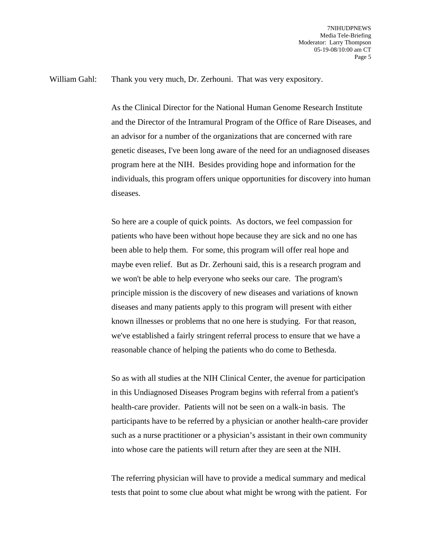## William Gahl: Thank you very much, Dr. Zerhouni. That was very expository.

As the Clinical Director for the National Human Genome Research Institute and the Director of the Intramural Program of the Office of Rare Diseases, and an advisor for a number of the organizations that are concerned with rare genetic diseases, I've been long aware of the need for an undiagnosed diseases program here at the NIH. Besides providing hope and information for the individuals, this program offers unique opportunities for discovery into human diseases.

So here are a couple of quick points. As doctors, we feel compassion for patients who have been without hope because they are sick and no one has been able to help them. For some, this program will offer real hope and maybe even relief. But as Dr. Zerhouni said, this is a research program and we won't be able to help everyone who seeks our care. The program's principle mission is the discovery of new diseases and variations of known diseases and many patients apply to this program will present with either known illnesses or problems that no one here is studying. For that reason, we've established a fairly stringent referral process to ensure that we have a reasonable chance of helping the patients who do come to Bethesda.

So as with all studies at the NIH Clinical Center, the avenue for participation in this Undiagnosed Diseases Program begins with referral from a patient's health-care provider. Patients will not be seen on a walk-in basis. The participants have to be referred by a physician or another health-care provider such as a nurse practitioner or a physician's assistant in their own community into whose care the patients will return after they are seen at the NIH.

The referring physician will have to provide a medical summary and medical tests that point to some clue about what might be wrong with the patient. For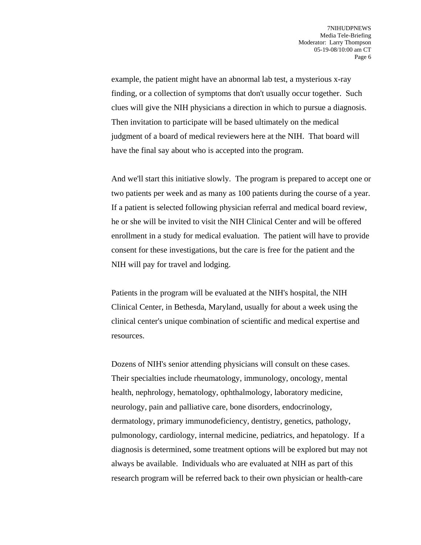example, the patient might have an abnormal lab test, a mysterious x-ray finding, or a collection of symptoms that don't usually occur together. Such clues will give the NIH physicians a direction in which to pursue a diagnosis. Then invitation to participate will be based ultimately on the medical judgment of a board of medical reviewers here at the NIH. That board will have the final say about who is accepted into the program.

And we'll start this initiative slowly. The program is prepared to accept one or two patients per week and as many as 100 patients during the course of a year. If a patient is selected following physician referral and medical board review, he or she will be invited to visit the NIH Clinical Center and will be offered enrollment in a study for medical evaluation. The patient will have to provide consent for these investigations, but the care is free for the patient and the NIH will pay for travel and lodging.

Patients in the program will be evaluated at the NIH's hospital, the NIH Clinical Center, in Bethesda, Maryland, usually for about a week using the clinical center's unique combination of scientific and medical expertise and resources.

Dozens of NIH's senior attending physicians will consult on these cases. Their specialties include rheumatology, immunology, oncology, mental health, nephrology, hematology, ophthalmology, laboratory medicine, neurology, pain and palliative care, bone disorders, endocrinology, dermatology, primary immunodeficiency, dentistry, genetics, pathology, pulmonology, cardiology, internal medicine, pediatrics, and hepatology. If a diagnosis is determined, some treatment options will be explored but may not always be available. Individuals who are evaluated at NIH as part of this research program will be referred back to their own physician or health-care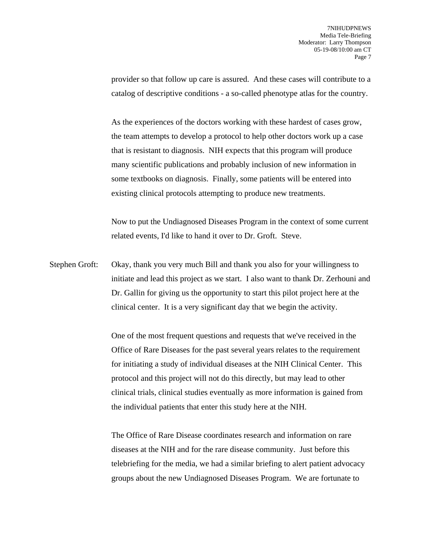provider so that follow up care is assured. And these cases will contribute to a catalog of descriptive conditions - a so-called phenotype atlas for the country.

As the experiences of the doctors working with these hardest of cases grow, the team attempts to develop a protocol to help other doctors work up a case that is resistant to diagnosis. NIH expects that this program will produce many scientific publications and probably inclusion of new information in some textbooks on diagnosis. Finally, some patients will be entered into existing clinical protocols attempting to produce new treatments.

Now to put the Undiagnosed Diseases Program in the context of some current related events, I'd like to hand it over to Dr. Groft. Steve.

Stephen Groft: Okay, thank you very much Bill and thank you also for your willingness to initiate and lead this project as we start. I also want to thank Dr. Zerhouni and Dr. Gallin for giving us the opportunity to start this pilot project here at the clinical center. It is a very significant day that we begin the activity.

> One of the most frequent questions and requests that we've received in the Office of Rare Diseases for the past several years relates to the requirement for initiating a study of individual diseases at the NIH Clinical Center. This protocol and this project will not do this directly, but may lead to other clinical trials, clinical studies eventually as more information is gained from the individual patients that enter this study here at the NIH.

> The Office of Rare Disease coordinates research and information on rare diseases at the NIH and for the rare disease community. Just before this telebriefing for the media, we had a similar briefing to alert patient advocacy groups about the new Undiagnosed Diseases Program. We are fortunate to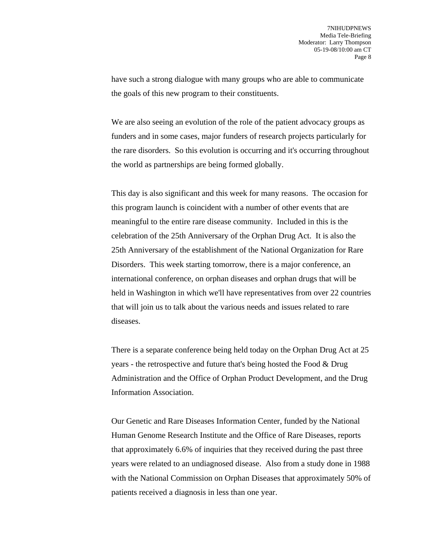have such a strong dialogue with many groups who are able to communicate the goals of this new program to their constituents.

We are also seeing an evolution of the role of the patient advocacy groups as funders and in some cases, major funders of research projects particularly for the rare disorders. So this evolution is occurring and it's occurring throughout the world as partnerships are being formed globally.

This day is also significant and this week for many reasons. The occasion for this program launch is coincident with a number of other events that are meaningful to the entire rare disease community. Included in this is the celebration of the 25th Anniversary of the Orphan Drug Act. It is also the 25th Anniversary of the establishment of the National Organization for Rare Disorders. This week starting tomorrow, there is a major conference, an international conference, on orphan diseases and orphan drugs that will be held in Washington in which we'll have representatives from over 22 countries that will join us to talk about the various needs and issues related to rare diseases.

There is a separate conference being held today on the Orphan Drug Act at 25 years - the retrospective and future that's being hosted the Food & Drug Administration and the Office of Orphan Product Development, and the Drug Information Association.

Our Genetic and Rare Diseases Information Center, funded by the National Human Genome Research Institute and the Office of Rare Diseases, reports that approximately 6.6% of inquiries that they received during the past three years were related to an undiagnosed disease. Also from a study done in 1988 with the National Commission on Orphan Diseases that approximately 50% of patients received a diagnosis in less than one year.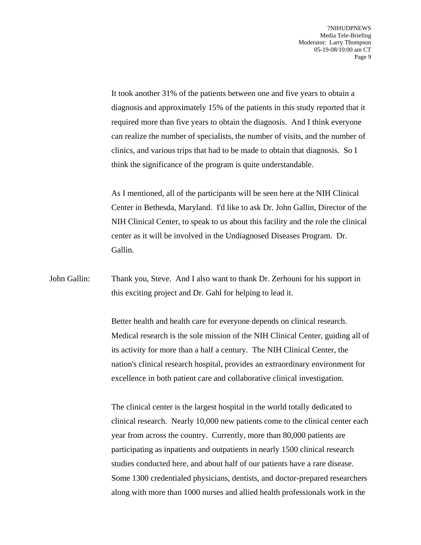It took another 31% of the patients between one and five years to obtain a diagnosis and approximately 15% of the patients in this study reported that it required more than five years to obtain the diagnosis. And I think everyone can realize the number of specialists, the number of visits, and the number of clinics, and various trips that had to be made to obtain that diagnosis. So I think the significance of the program is quite understandable.

As I mentioned, all of the participants will be seen here at the NIH Clinical Center in Bethesda, Maryland. I'd like to ask Dr. John Gallin, Director of the NIH Clinical Center, to speak to us about this facility and the role the clinical center as it will be involved in the Undiagnosed Diseases Program. Dr. Gallin.

John Gallin: Thank you, Steve. And I also want to thank Dr. Zerhouni for his support in this exciting project and Dr. Gahl for helping to lead it.

> Better health and health care for everyone depends on clinical research. Medical research is the sole mission of the NIH Clinical Center, guiding all of its activity for more than a half a century. The NIH Clinical Center, the nation's clinical research hospital, provides an extraordinary environment for excellence in both patient care and collaborative clinical investigation.

> The clinical center is the largest hospital in the world totally dedicated to clinical research. Nearly 10,000 new patients come to the clinical center each year from across the country. Currently, more than 80,000 patients are participating as inpatients and outpatients in nearly 1500 clinical research studies conducted here, and about half of our patients have a rare disease. Some 1300 credentialed physicians, dentists, and doctor-prepared researchers along with more than 1000 nurses and allied health professionals work in the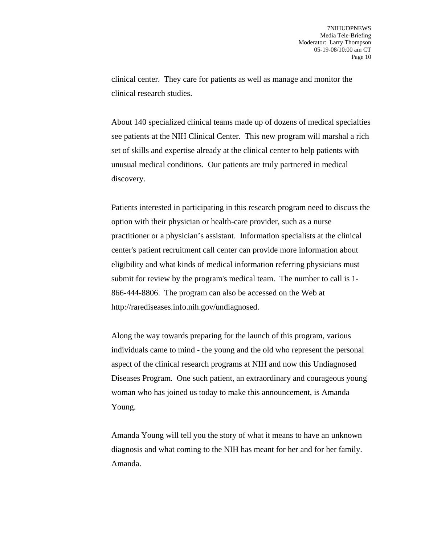clinical center. They care for patients as well as manage and monitor the clinical research studies.

About 140 specialized clinical teams made up of dozens of medical specialties see patients at the NIH Clinical Center. This new program will marshal a rich set of skills and expertise already at the clinical center to help patients with unusual medical conditions. Our patients are truly partnered in medical discovery.

Patients interested in participating in this research program need to discuss the option with their physician or health-care provider, such as a nurse practitioner or a physician's assistant. Information specialists at the clinical center's patient recruitment call center can provide more information about eligibility and what kinds of medical information referring physicians must submit for review by the program's medical team. The number to call is 1- 866-444-8806. The program can also be accessed on the Web at http://rarediseases.info.nih.gov/undiagnosed.

Along the way towards preparing for the launch of this program, various individuals came to mind - the young and the old who represent the personal aspect of the clinical research programs at NIH and now this Undiagnosed Diseases Program. One such patient, an extraordinary and courageous young woman who has joined us today to make this announcement, is Amanda Young.

Amanda Young will tell you the story of what it means to have an unknown diagnosis and what coming to the NIH has meant for her and for her family. Amanda.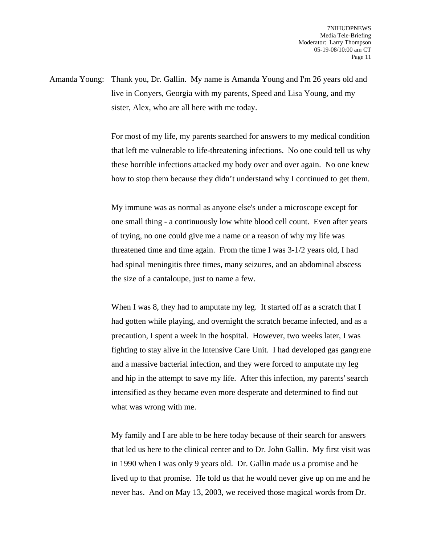Amanda Young: Thank you, Dr. Gallin. My name is Amanda Young and I'm 26 years old and live in Conyers, Georgia with my parents, Speed and Lisa Young, and my sister, Alex, who are all here with me today.

> For most of my life, my parents searched for answers to my medical condition that left me vulnerable to life-threatening infections. No one could tell us why these horrible infections attacked my body over and over again. No one knew how to stop them because they didn't understand why I continued to get them.

> My immune was as normal as anyone else's under a microscope except for one small thing - a continuously low white blood cell count. Even after years of trying, no one could give me a name or a reason of why my life was threatened time and time again. From the time I was 3-1/2 years old, I had had spinal meningitis three times, many seizures, and an abdominal abscess the size of a cantaloupe, just to name a few.

When I was 8, they had to amputate my leg. It started off as a scratch that I had gotten while playing, and overnight the scratch became infected, and as a precaution, I spent a week in the hospital. However, two weeks later, I was fighting to stay alive in the Intensive Care Unit. I had developed gas gangrene and a massive bacterial infection, and they were forced to amputate my leg and hip in the attempt to save my life. After this infection, my parents' search intensified as they became even more desperate and determined to find out what was wrong with me.

My family and I are able to be here today because of their search for answers that led us here to the clinical center and to Dr. John Gallin. My first visit was in 1990 when I was only 9 years old. Dr. Gallin made us a promise and he lived up to that promise. He told us that he would never give up on me and he never has. And on May 13, 2003, we received those magical words from Dr.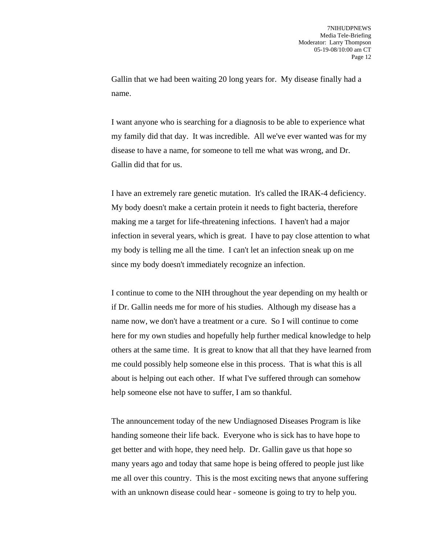Gallin that we had been waiting 20 long years for. My disease finally had a name.

I want anyone who is searching for a diagnosis to be able to experience what my family did that day. It was incredible. All we've ever wanted was for my disease to have a name, for someone to tell me what was wrong, and Dr. Gallin did that for us.

I have an extremely rare genetic mutation. It's called the IRAK-4 deficiency. My body doesn't make a certain protein it needs to fight bacteria, therefore making me a target for life-threatening infections. I haven't had a major infection in several years, which is great. I have to pay close attention to what my body is telling me all the time. I can't let an infection sneak up on me since my body doesn't immediately recognize an infection.

I continue to come to the NIH throughout the year depending on my health or if Dr. Gallin needs me for more of his studies. Although my disease has a name now, we don't have a treatment or a cure. So I will continue to come here for my own studies and hopefully help further medical knowledge to help others at the same time. It is great to know that all that they have learned from me could possibly help someone else in this process. That is what this is all about is helping out each other. If what I've suffered through can somehow help someone else not have to suffer, I am so thankful.

The announcement today of the new Undiagnosed Diseases Program is like handing someone their life back. Everyone who is sick has to have hope to get better and with hope, they need help. Dr. Gallin gave us that hope so many years ago and today that same hope is being offered to people just like me all over this country. This is the most exciting news that anyone suffering with an unknown disease could hear - someone is going to try to help you.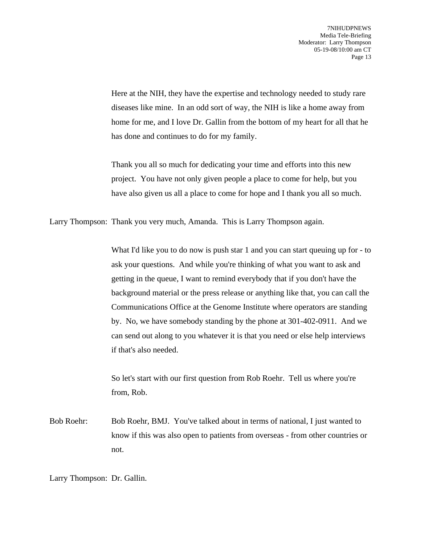Here at the NIH, they have the expertise and technology needed to study rare diseases like mine. In an odd sort of way, the NIH is like a home away from home for me, and I love Dr. Gallin from the bottom of my heart for all that he has done and continues to do for my family.

Thank you all so much for dedicating your time and efforts into this new project. You have not only given people a place to come for help, but you have also given us all a place to come for hope and I thank you all so much.

Larry Thompson: Thank you very much, Amanda. This is Larry Thompson again.

What I'd like you to do now is push star 1 and you can start queuing up for - to ask your questions. And while you're thinking of what you want to ask and getting in the queue, I want to remind everybody that if you don't have the background material or the press release or anything like that, you can call the Communications Office at the Genome Institute where operators are standing by. No, we have somebody standing by the phone at 301-402-0911. And we can send out along to you whatever it is that you need or else help interviews if that's also needed.

So let's start with our first question from Rob Roehr. Tell us where you're from, Rob.

Bob Roehr: Bob Roehr, BMJ. You've talked about in terms of national, I just wanted to know if this was also open to patients from overseas - from other countries or not.

Larry Thompson: Dr. Gallin.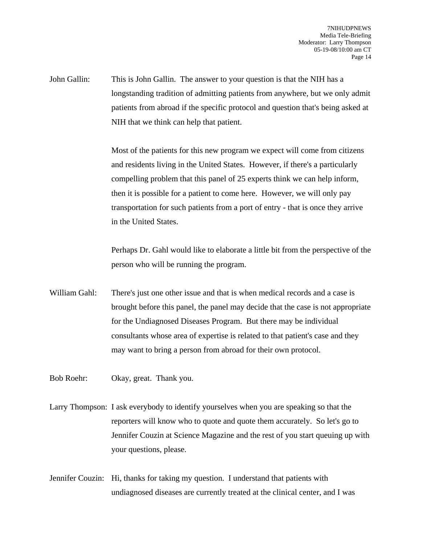John Gallin: This is John Gallin. The answer to your question is that the NIH has a longstanding tradition of admitting patients from anywhere, but we only admit patients from abroad if the specific protocol and question that's being asked at NIH that we think can help that patient.

> Most of the patients for this new program we expect will come from citizens and residents living in the United States. However, if there's a particularly compelling problem that this panel of 25 experts think we can help inform, then it is possible for a patient to come here. However, we will only pay transportation for such patients from a port of entry - that is once they arrive in the United States.

Perhaps Dr. Gahl would like to elaborate a little bit from the perspective of the person who will be running the program.

William Gahl: There's just one other issue and that is when medical records and a case is brought before this panel, the panel may decide that the case is not appropriate for the Undiagnosed Diseases Program. But there may be individual consultants whose area of expertise is related to that patient's case and they may want to bring a person from abroad for their own protocol.

Bob Roehr: Okay, great. Thank you.

Larry Thompson: I ask everybody to identify yourselves when you are speaking so that the reporters will know who to quote and quote them accurately. So let's go to Jennifer Couzin at Science Magazine and the rest of you start queuing up with your questions, please.

Jennifer Couzin: Hi, thanks for taking my question. I understand that patients with undiagnosed diseases are currently treated at the clinical center, and I was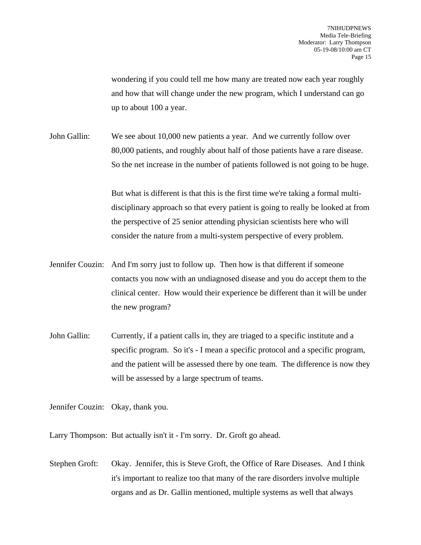wondering if you could tell me how many are treated now each year roughly and how that will change under the new program, which I understand can go up to about 100 a year.

John Gallin: We see about 10,000 new patients a year. And we currently follow over 80,000 patients, and roughly about half of those patients have a rare disease. So the net increase in the number of patients followed is not going to be huge.

> But what is different is that this is the first time we're taking a formal multidisciplinary approach so that every patient is going to really be looked at from the perspective of 25 senior attending physician scientists here who will consider the nature from a multi-system perspective of every problem.

- Jennifer Couzin: And I'm sorry just to follow up. Then how is that different if someone contacts you now with an undiagnosed disease and you do accept them to the clinical center. How would their experience be different than it will be under the new program?
- John Gallin: Currently, if a patient calls in, they are triaged to a specific institute and a specific program. So it's - I mean a specific protocol and a specific program, and the patient will be assessed there by one team. The difference is now they will be assessed by a large spectrum of teams.

Jennifer Couzin: Okay, thank you.

Larry Thompson: But actually isn't it - I'm sorry. Dr. Groft go ahead.

Stephen Groft: Okay. Jennifer, this is Steve Groft, the Office of Rare Diseases. And I think it's important to realize too that many of the rare disorders involve multiple organs and as Dr. Gallin mentioned, multiple systems as well that always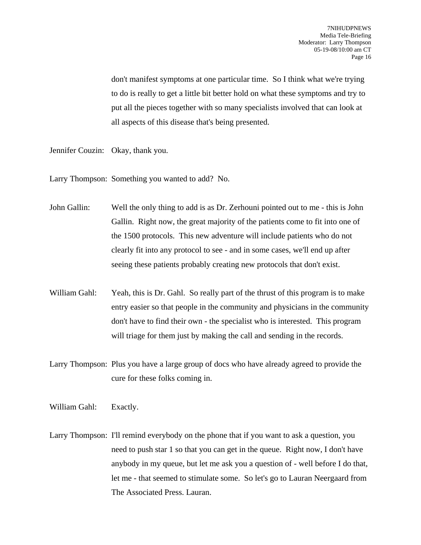don't manifest symptoms at one particular time. So I think what we're trying to do is really to get a little bit better hold on what these symptoms and try to put all the pieces together with so many specialists involved that can look at all aspects of this disease that's being presented.

Jennifer Couzin: Okay, thank you.

Larry Thompson: Something you wanted to add? No.

John Gallin: Well the only thing to add is as Dr. Zerhouni pointed out to me - this is John Gallin. Right now, the great majority of the patients come to fit into one of the 1500 protocols. This new adventure will include patients who do not clearly fit into any protocol to see - and in some cases, we'll end up after seeing these patients probably creating new protocols that don't exist.

William Gahl: Yeah, this is Dr. Gahl. So really part of the thrust of this program is to make entry easier so that people in the community and physicians in the community don't have to find their own - the specialist who is interested. This program will triage for them just by making the call and sending in the records.

Larry Thompson: Plus you have a large group of docs who have already agreed to provide the cure for these folks coming in.

William Gahl: Exactly.

Larry Thompson: I'll remind everybody on the phone that if you want to ask a question, you need to push star 1 so that you can get in the queue. Right now, I don't have anybody in my queue, but let me ask you a question of - well before I do that, let me - that seemed to stimulate some. So let's go to Lauran Neergaard from The Associated Press. Lauran.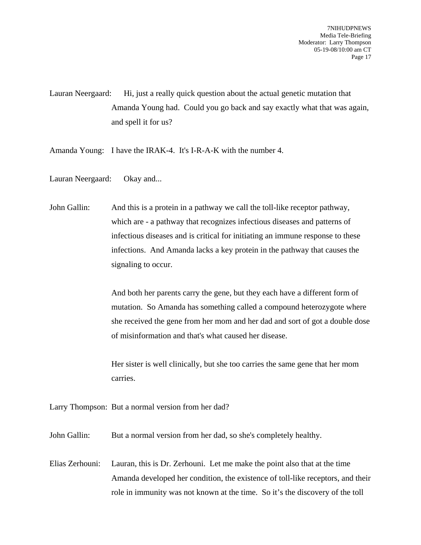Lauran Neergaard: Hi, just a really quick question about the actual genetic mutation that Amanda Young had. Could you go back and say exactly what that was again, and spell it for us?

Amanda Young: I have the IRAK-4. It's I-R-A-K with the number 4.

Lauran Neergaard: Okay and...

John Gallin: And this is a protein in a pathway we call the toll-like receptor pathway, which are - a pathway that recognizes infectious diseases and patterns of infectious diseases and is critical for initiating an immune response to these infections. And Amanda lacks a key protein in the pathway that causes the signaling to occur.

> And both her parents carry the gene, but they each have a different form of mutation. So Amanda has something called a compound heterozygote where she received the gene from her mom and her dad and sort of got a double dose of misinformation and that's what caused her disease.

Her sister is well clinically, but she too carries the same gene that her mom carries.

Larry Thompson: But a normal version from her dad?

John Gallin: But a normal version from her dad, so she's completely healthy.

Elias Zerhouni: Lauran, this is Dr. Zerhouni. Let me make the point also that at the time Amanda developed her condition, the existence of toll-like receptors, and their role in immunity was not known at the time. So it's the discovery of the toll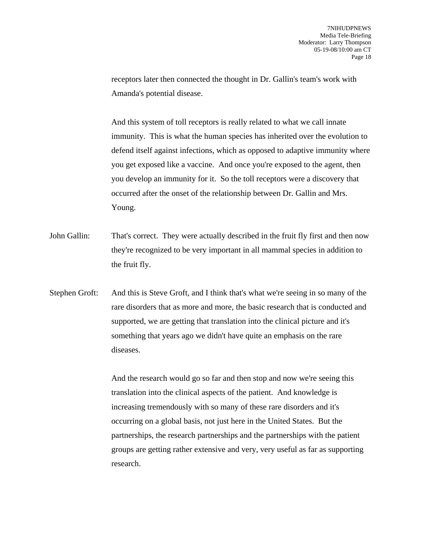receptors later then connected the thought in Dr. Gallin's team's work with Amanda's potential disease.

And this system of toll receptors is really related to what we call innate immunity. This is what the human species has inherited over the evolution to defend itself against infections, which as opposed to adaptive immunity where you get exposed like a vaccine. And once you're exposed to the agent, then you develop an immunity for it. So the toll receptors were a discovery that occurred after the onset of the relationship between Dr. Gallin and Mrs. Young.

- John Gallin: That's correct. They were actually described in the fruit fly first and then now they're recognized to be very important in all mammal species in addition to the fruit fly.
- Stephen Groft: And this is Steve Groft, and I think that's what we're seeing in so many of the rare disorders that as more and more, the basic research that is conducted and supported, we are getting that translation into the clinical picture and it's something that years ago we didn't have quite an emphasis on the rare diseases.

And the research would go so far and then stop and now we're seeing this translation into the clinical aspects of the patient. And knowledge is increasing tremendously with so many of these rare disorders and it's occurring on a global basis, not just here in the United States. But the partnerships, the research partnerships and the partnerships with the patient groups are getting rather extensive and very, very useful as far as supporting research.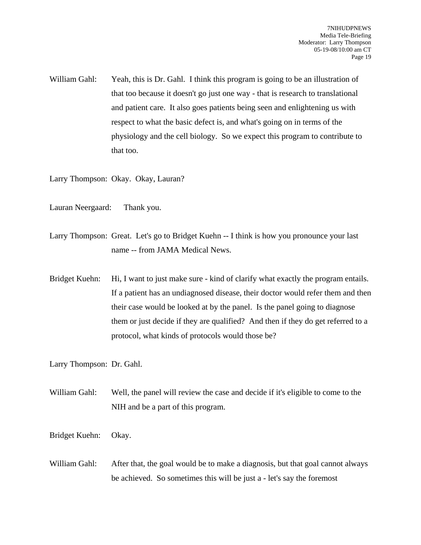William Gahl: Yeah, this is Dr. Gahl. I think this program is going to be an illustration of that too because it doesn't go just one way - that is research to translational and patient care. It also goes patients being seen and enlightening us with respect to what the basic defect is, and what's going on in terms of the physiology and the cell biology. So we expect this program to contribute to that too.

Larry Thompson: Okay. Okay, Lauran?

- Lauran Neergaard: Thank you.
- Larry Thompson: Great. Let's go to Bridget Kuehn -- I think is how you pronounce your last name -- from JAMA Medical News.
- Bridget Kuehn: Hi, I want to just make sure kind of clarify what exactly the program entails. If a patient has an undiagnosed disease, their doctor would refer them and then their case would be looked at by the panel. Is the panel going to diagnose them or just decide if they are qualified? And then if they do get referred to a protocol, what kinds of protocols would those be?

Larry Thompson: Dr. Gahl.

- William Gahl: Well, the panel will review the case and decide if it's eligible to come to the NIH and be a part of this program.
- Bridget Kuehn: Okay.
- William Gahl: After that, the goal would be to make a diagnosis, but that goal cannot always be achieved. So sometimes this will be just a - let's say the foremost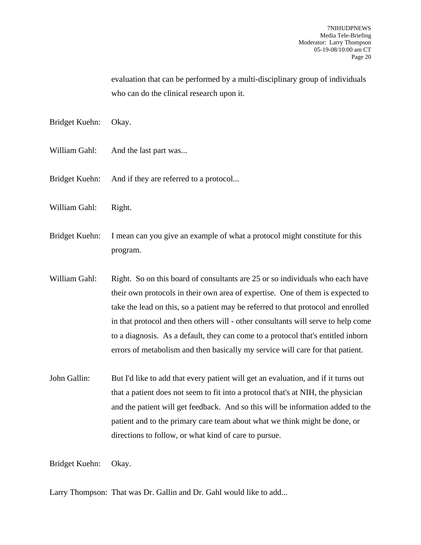evaluation that can be performed by a multi-disciplinary group of individuals who can do the clinical research upon it.

Bridget Kuehn: Okay.

- William Gahl: And the last part was...
- Bridget Kuehn: And if they are referred to a protocol...
- William Gahl: Right.
- Bridget Kuehn: I mean can you give an example of what a protocol might constitute for this program.
- William Gahl: Right. So on this board of consultants are 25 or so individuals who each have their own protocols in their own area of expertise. One of them is expected to take the lead on this, so a patient may be referred to that protocol and enrolled in that protocol and then others will - other consultants will serve to help come to a diagnosis. As a default, they can come to a protocol that's entitled inborn errors of metabolism and then basically my service will care for that patient.
- John Gallin: But I'd like to add that every patient will get an evaluation, and if it turns out that a patient does not seem to fit into a protocol that's at NIH, the physician and the patient will get feedback. And so this will be information added to the patient and to the primary care team about what we think might be done, or directions to follow, or what kind of care to pursue.

Bridget Kuehn: Okay.

Larry Thompson: That was Dr. Gallin and Dr. Gahl would like to add...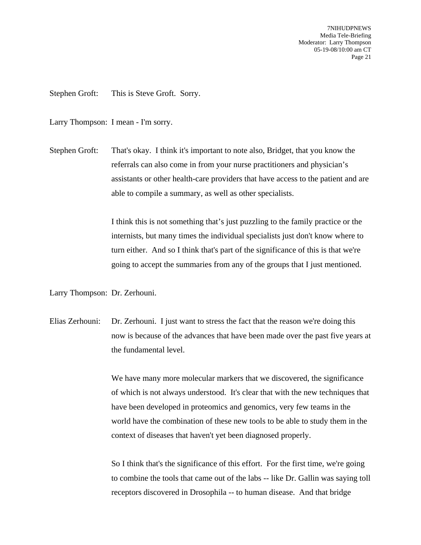7NIHUDPNEWS Media Tele-Briefing Moderator: Larry Thompson 05-19-08/10:00 am CT Page 21

Stephen Groft: This is Steve Groft. Sorry.

Larry Thompson: I mean - I'm sorry.

Stephen Groft: That's okay. I think it's important to note also, Bridget, that you know the referrals can also come in from your nurse practitioners and physician's assistants or other health-care providers that have access to the patient and are able to compile a summary, as well as other specialists.

> I think this is not something that's just puzzling to the family practice or the internists, but many times the individual specialists just don't know where to turn either. And so I think that's part of the significance of this is that we're going to accept the summaries from any of the groups that I just mentioned.

Larry Thompson: Dr. Zerhouni.

Elias Zerhouni: Dr. Zerhouni. I just want to stress the fact that the reason we're doing this now is because of the advances that have been made over the past five years at the fundamental level.

> We have many more molecular markers that we discovered, the significance of which is not always understood. It's clear that with the new techniques that have been developed in proteomics and genomics, very few teams in the world have the combination of these new tools to be able to study them in the context of diseases that haven't yet been diagnosed properly.

> So I think that's the significance of this effort. For the first time, we're going to combine the tools that came out of the labs -- like Dr. Gallin was saying toll receptors discovered in Drosophila -- to human disease. And that bridge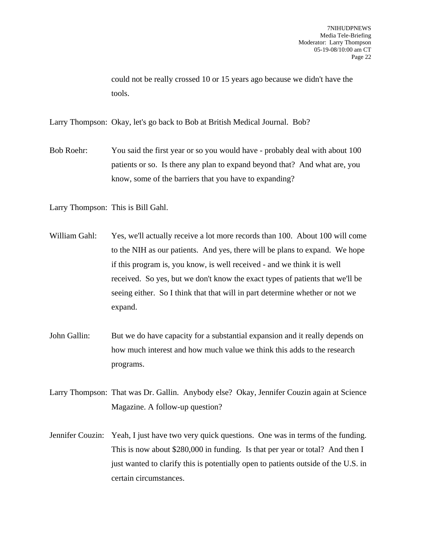could not be really crossed 10 or 15 years ago because we didn't have the tools.

Larry Thompson: Okay, let's go back to Bob at British Medical Journal. Bob?

Bob Roehr: You said the first year or so you would have - probably deal with about 100 patients or so. Is there any plan to expand beyond that? And what are, you know, some of the barriers that you have to expanding?

Larry Thompson: This is Bill Gahl.

- William Gahl: Yes, we'll actually receive a lot more records than 100. About 100 will come to the NIH as our patients. And yes, there will be plans to expand. We hope if this program is, you know, is well received - and we think it is well received. So yes, but we don't know the exact types of patients that we'll be seeing either. So I think that that will in part determine whether or not we expand.
- John Gallin: But we do have capacity for a substantial expansion and it really depends on how much interest and how much value we think this adds to the research programs.
- Larry Thompson: That was Dr. Gallin. Anybody else? Okay, Jennifer Couzin again at Science Magazine. A follow-up question?
- Jennifer Couzin: Yeah, I just have two very quick questions. One was in terms of the funding. This is now about \$280,000 in funding. Is that per year or total? And then I just wanted to clarify this is potentially open to patients outside of the U.S. in certain circumstances.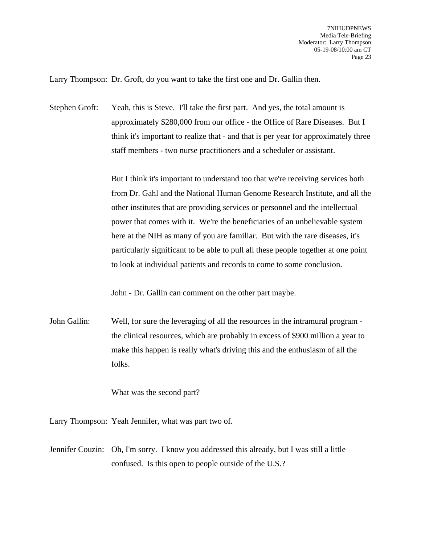Larry Thompson: Dr. Groft, do you want to take the first one and Dr. Gallin then.

Stephen Groft: Yeah, this is Steve. I'll take the first part. And yes, the total amount is approximately \$280,000 from our office - the Office of Rare Diseases. But I think it's important to realize that - and that is per year for approximately three staff members - two nurse practitioners and a scheduler or assistant.

> But I think it's important to understand too that we're receiving services both from Dr. Gahl and the National Human Genome Research Institute, and all the other institutes that are providing services or personnel and the intellectual power that comes with it. We're the beneficiaries of an unbelievable system here at the NIH as many of you are familiar. But with the rare diseases, it's particularly significant to be able to pull all these people together at one point to look at individual patients and records to come to some conclusion.

John - Dr. Gallin can comment on the other part maybe.

John Gallin: Well, for sure the leveraging of all the resources in the intramural program the clinical resources, which are probably in excess of \$900 million a year to make this happen is really what's driving this and the enthusiasm of all the folks.

What was the second part?

Larry Thompson: Yeah Jennifer, what was part two of.

Jennifer Couzin: Oh, I'm sorry. I know you addressed this already, but I was still a little confused. Is this open to people outside of the U.S.?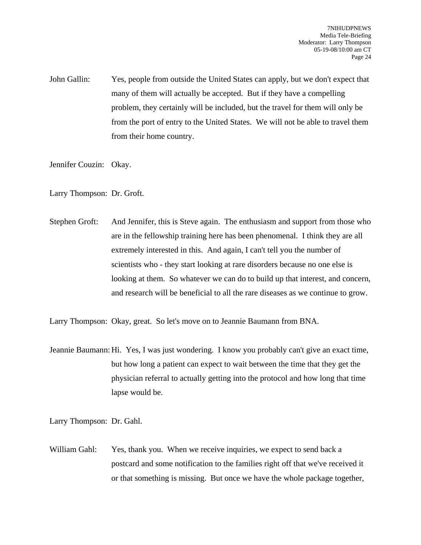John Gallin: Yes, people from outside the United States can apply, but we don't expect that many of them will actually be accepted. But if they have a compelling problem, they certainly will be included, but the travel for them will only be from the port of entry to the United States. We will not be able to travel them from their home country.

Jennifer Couzin: Okay.

Larry Thompson: Dr. Groft.

Stephen Groft: And Jennifer, this is Steve again. The enthusiasm and support from those who are in the fellowship training here has been phenomenal. I think they are all extremely interested in this. And again, I can't tell you the number of scientists who - they start looking at rare disorders because no one else is looking at them. So whatever we can do to build up that interest, and concern, and research will be beneficial to all the rare diseases as we continue to grow.

Larry Thompson: Okay, great. So let's move on to Jeannie Baumann from BNA.

Jeannie Baumann: Hi. Yes, I was just wondering. I know you probably can't give an exact time, but how long a patient can expect to wait between the time that they get the physician referral to actually getting into the protocol and how long that time lapse would be.

Larry Thompson: Dr. Gahl.

William Gahl: Yes, thank you. When we receive inquiries, we expect to send back a postcard and some notification to the families right off that we've received it or that something is missing. But once we have the whole package together,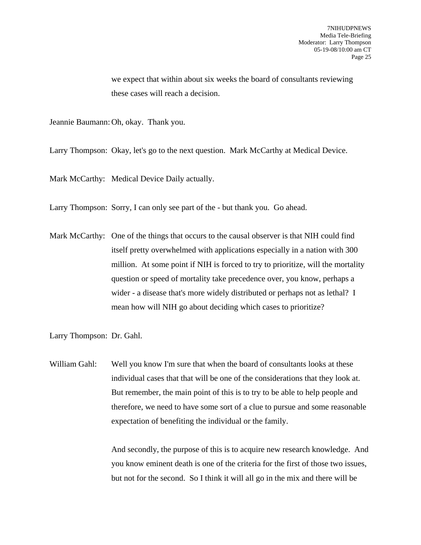we expect that within about six weeks the board of consultants reviewing these cases will reach a decision.

Jeannie Baumann: Oh, okay. Thank you.

Larry Thompson: Okay, let's go to the next question. Mark McCarthy at Medical Device.

Mark McCarthy: Medical Device Daily actually.

Larry Thompson: Sorry, I can only see part of the - but thank you. Go ahead.

Mark McCarthy: One of the things that occurs to the causal observer is that NIH could find itself pretty overwhelmed with applications especially in a nation with 300 million. At some point if NIH is forced to try to prioritize, will the mortality question or speed of mortality take precedence over, you know, perhaps a wider - a disease that's more widely distributed or perhaps not as lethal? I mean how will NIH go about deciding which cases to prioritize?

Larry Thompson: Dr. Gahl.

William Gahl: Well you know I'm sure that when the board of consultants looks at these individual cases that that will be one of the considerations that they look at. But remember, the main point of this is to try to be able to help people and therefore, we need to have some sort of a clue to pursue and some reasonable expectation of benefiting the individual or the family.

> And secondly, the purpose of this is to acquire new research knowledge. And you know eminent death is one of the criteria for the first of those two issues, but not for the second. So I think it will all go in the mix and there will be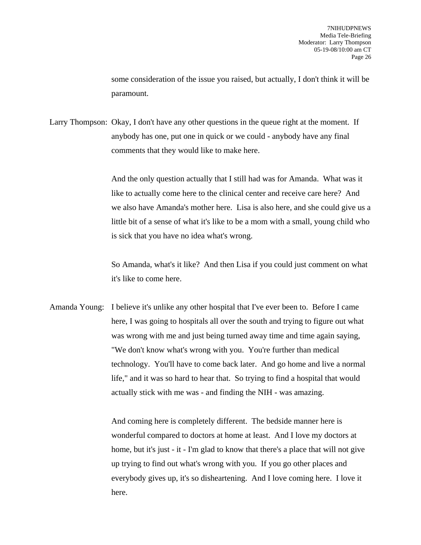some consideration of the issue you raised, but actually, I don't think it will be paramount.

Larry Thompson: Okay, I don't have any other questions in the queue right at the moment. If anybody has one, put one in quick or we could - anybody have any final comments that they would like to make here.

> And the only question actually that I still had was for Amanda. What was it like to actually come here to the clinical center and receive care here? And we also have Amanda's mother here. Lisa is also here, and she could give us a little bit of a sense of what it's like to be a mom with a small, young child who is sick that you have no idea what's wrong.

So Amanda, what's it like? And then Lisa if you could just comment on what it's like to come here.

Amanda Young: I believe it's unlike any other hospital that I've ever been to. Before I came here, I was going to hospitals all over the south and trying to figure out what was wrong with me and just being turned away time and time again saying, "We don't know what's wrong with you. You're further than medical technology. You'll have to come back later. And go home and live a normal life," and it was so hard to hear that. So trying to find a hospital that would actually stick with me was - and finding the NIH - was amazing.

> And coming here is completely different. The bedside manner here is wonderful compared to doctors at home at least. And I love my doctors at home, but it's just - it - I'm glad to know that there's a place that will not give up trying to find out what's wrong with you. If you go other places and everybody gives up, it's so disheartening. And I love coming here. I love it here.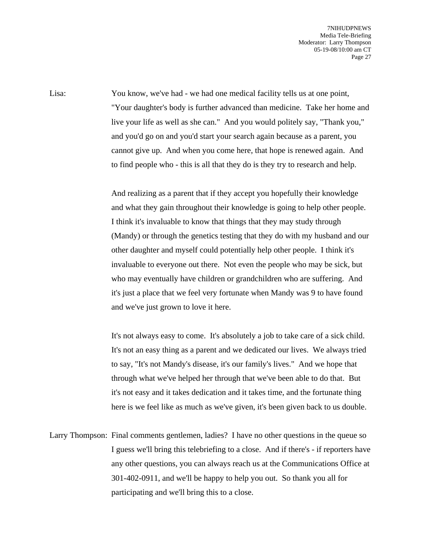Lisa: You know, we've had - we had one medical facility tells us at one point, "Your daughter's body is further advanced than medicine. Take her home and live your life as well as she can." And you would politely say, "Thank you," and you'd go on and you'd start your search again because as a parent, you cannot give up. And when you come here, that hope is renewed again. And to find people who - this is all that they do is they try to research and help.

> And realizing as a parent that if they accept you hopefully their knowledge and what they gain throughout their knowledge is going to help other people. I think it's invaluable to know that things that they may study through (Mandy) or through the genetics testing that they do with my husband and our other daughter and myself could potentially help other people. I think it's invaluable to everyone out there. Not even the people who may be sick, but who may eventually have children or grandchildren who are suffering. And it's just a place that we feel very fortunate when Mandy was 9 to have found and we've just grown to love it here.

> It's not always easy to come. It's absolutely a job to take care of a sick child. It's not an easy thing as a parent and we dedicated our lives. We always tried to say, "It's not Mandy's disease, it's our family's lives." And we hope that through what we've helped her through that we've been able to do that. But it's not easy and it takes dedication and it takes time, and the fortunate thing here is we feel like as much as we've given, it's been given back to us double.

Larry Thompson: Final comments gentlemen, ladies? I have no other questions in the queue so I guess we'll bring this telebriefing to a close. And if there's - if reporters have any other questions, you can always reach us at the Communications Office at 301-402-0911, and we'll be happy to help you out. So thank you all for participating and we'll bring this to a close.